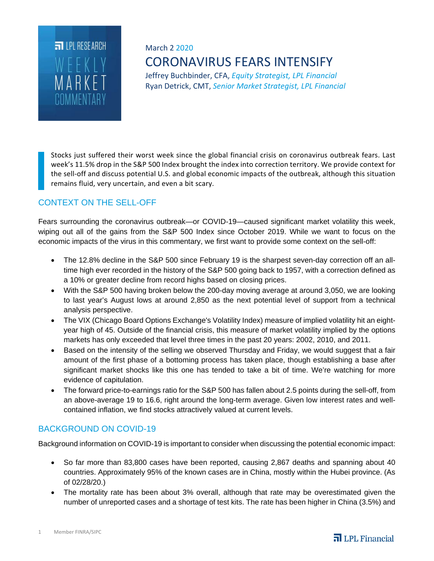

# March 2 2020 CORONAVIRUS FEARS INTENSIFY

Jeffrey Buchbinder, CFA, *Equity Strategist, LPL Financial* Ryan Detrick, CMT, *Senior Market Strategist, LPL Financial*

Stocks just suffered their worst week since the global financial crisis on coronavirus outbreak fears. Last week's 11.5% drop in the S&P 500 Index brought the index into correction territory. We provide context for the sell‐off and discuss potential U.S. and global economic impacts of the outbreak, although this situation remains fluid, very uncertain, and even a bit scary.

## CONTEXT ON THE SELL-OFF

Fears surrounding the coronavirus outbreak—or COVID-19—caused significant market volatility this week, wiping out all of the gains from the S&P 500 Index since October 2019. While we want to focus on the economic impacts of the virus in this commentary, we first want to provide some context on the sell-off:

- The 12.8% decline in the S&P 500 since February 19 is the sharpest seven-day correction off an alltime high ever recorded in the history of the S&P 500 going back to 1957, with a correction defined as a 10% or greater decline from record highs based on closing prices.
- With the S&P 500 having broken below the 200-day moving average at around 3,050, we are looking to last year's August lows at around 2,850 as the next potential level of support from a technical analysis perspective.
- The VIX (Chicago Board Options Exchange's Volatility Index) measure of implied volatility hit an eightyear high of 45. Outside of the financial crisis, this measure of market volatility implied by the options markets has only exceeded that level three times in the past 20 years: 2002, 2010, and 2011.
- Based on the intensity of the selling we observed Thursday and Friday, we would suggest that a fair amount of the first phase of a bottoming process has taken place, though establishing a base after significant market shocks like this one has tended to take a bit of time. We're watching for more evidence of capitulation.
- The forward price-to-earnings ratio for the S&P 500 has fallen about 2.5 points during the sell-off, from an above-average 19 to 16.6, right around the long-term average. Given low interest rates and wellcontained inflation, we find stocks attractively valued at current levels.

# BACKGROUND ON COVID-19

Background information on COVID-19 is important to consider when discussing the potential economic impact:

- So far more than 83,800 cases have been reported, causing 2,867 deaths and spanning about 40 countries. Approximately 95% of the known cases are in China, mostly within the Hubei province. (As of 02/28/20.)
- The mortality rate has been about 3% overall, although that rate may be overestimated given the number of unreported cases and a shortage of test kits. The rate has been higher in China (3.5%) and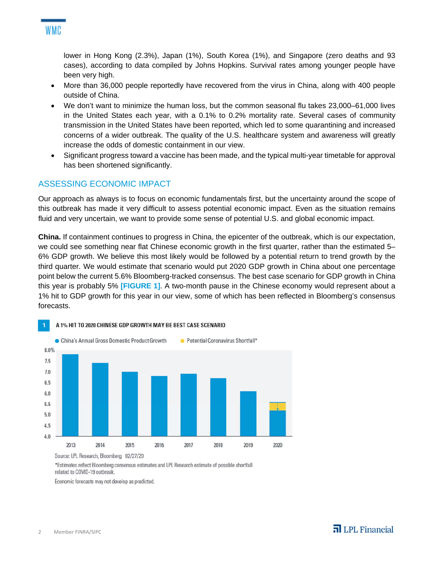

lower in Hong Kong (2.3%), Japan (1%), South Korea (1%), and Singapore (zero deaths and 93 cases), according to data compiled by Johns Hopkins. Survival rates among younger people have been very high.

- More than 36,000 people reportedly have recovered from the virus in China, along with 400 people outside of China.
- We don't want to minimize the human loss, but the common seasonal flu takes 23,000–61,000 lives in the United States each year, with a 0.1% to 0.2% mortality rate. Several cases of community transmission in the United States have been reported, which led to some quarantining and increased concerns of a wider outbreak. The quality of the U.S. healthcare system and awareness will greatly increase the odds of domestic containment in our view.
- Significant progress toward a vaccine has been made, and the typical multi-year timetable for approval has been shortened significantly.

#### ASSESSING ECONOMIC IMPACT

Our approach as always is to focus on economic fundamentals first, but the uncertainty around the scope of this outbreak has made it very difficult to assess potential economic impact. Even as the situation remains fluid and very uncertain, we want to provide some sense of potential U.S. and global economic impact.

**China.** If containment continues to progress in China, the epicenter of the outbreak, which is our expectation, we could see something near flat Chinese economic growth in the first quarter, rather than the estimated 5– 6% GDP growth. We believe this most likely would be followed by a potential return to trend growth by the third quarter. We would estimate that scenario would put 2020 GDP growth in China about one percentage point below the current 5.6% Bloomberg-tracked consensus. The best case scenario for GDP growth in China this year is probably 5% **[FIGURE 1]**. A two-month pause in the Chinese economy would represent about a 1% hit to GDP growth for this year in our view, some of which has been reflected in Bloomberg's consensus forecasts.



\*Estimates reflect Bloomberg consensus estimates and LPL Research estimate of possible shortfall related to COVID-19 outbreak.

Economic forecasts may not develop as predicted.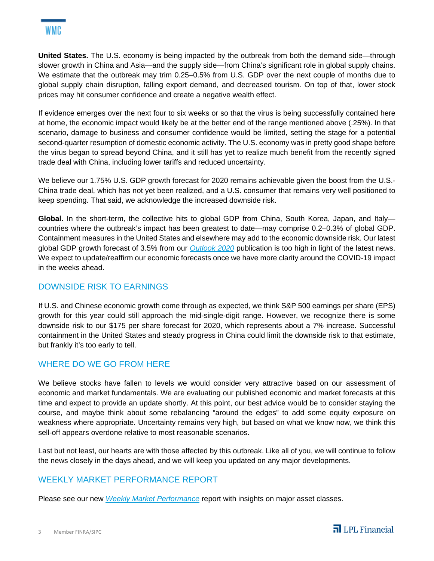**United States.** The U.S. economy is being impacted by the outbreak from both the demand side—through slower growth in China and Asia—and the supply side—from China's significant role in global supply chains. We estimate that the outbreak may trim 0.25–0.5% from U.S. GDP over the next couple of months due to global supply chain disruption, falling export demand, and decreased tourism. On top of that, lower stock prices may hit consumer confidence and create a negative wealth effect.

If evidence emerges over the next four to six weeks or so that the virus is being successfully contained here at home, the economic impact would likely be at the better end of the range mentioned above (.25%). In that scenario, damage to business and consumer confidence would be limited, setting the stage for a potential second-quarter resumption of domestic economic activity. The U.S. economy was in pretty good shape before the virus began to spread beyond China, and it still has yet to realize much benefit from the recently signed trade deal with China, including lower tariffs and reduced uncertainty.

We believe our 1.75% U.S. GDP growth forecast for 2020 remains achievable given the boost from the U.S.-China trade deal, which has not yet been realized, and a U.S. consumer that remains very well positioned to keep spending. That said, we acknowledge the increased downside risk.

Global. In the short-term, the collective hits to global GDP from China, South Korea, Japan, and Italycountries where the outbreak's impact has been greatest to date—may comprise 0.2–0.3% of global GDP. Containment measures in the United States and elsewhere may add to the economic downside risk. Our latest global GDP growth forecast of 3.5% from our *Outlook 2020* publication is too high in light of the latest news. We expect to update/reaffirm our economic forecasts once we have more clarity around the COVID-19 impact in the weeks ahead.

### DOWNSIDE RISK TO EARNINGS

If U.S. and Chinese economic growth come through as expected, we think S&P 500 earnings per share (EPS) growth for this year could still approach the mid-single-digit range. However, we recognize there is some downside risk to our \$175 per share forecast for 2020, which represents about a 7% increase. Successful containment in the United States and steady progress in China could limit the downside risk to that estimate, but frankly it's too early to tell.

### WHERE DO WE GO FROM HERE

We believe stocks have fallen to levels we would consider very attractive based on our assessment of economic and market fundamentals. We are evaluating our published economic and market forecasts at this time and expect to provide an update shortly. At this point, our best advice would be to consider staying the course, and maybe think about some rebalancing "around the edges" to add some equity exposure on weakness where appropriate. Uncertainty remains very high, but based on what we know now, we think this sell-off appears overdone relative to most reasonable scenarios.

Last but not least, our hearts are with those affected by this outbreak. Like all of you, we will continue to follow the news closely in the days ahead, and we will keep you updated on any major developments.

#### WEEKLY MARKET PERFORMANCE REPORT

Please see our new *Weekly Market Performance* report with insights on major asset classes.